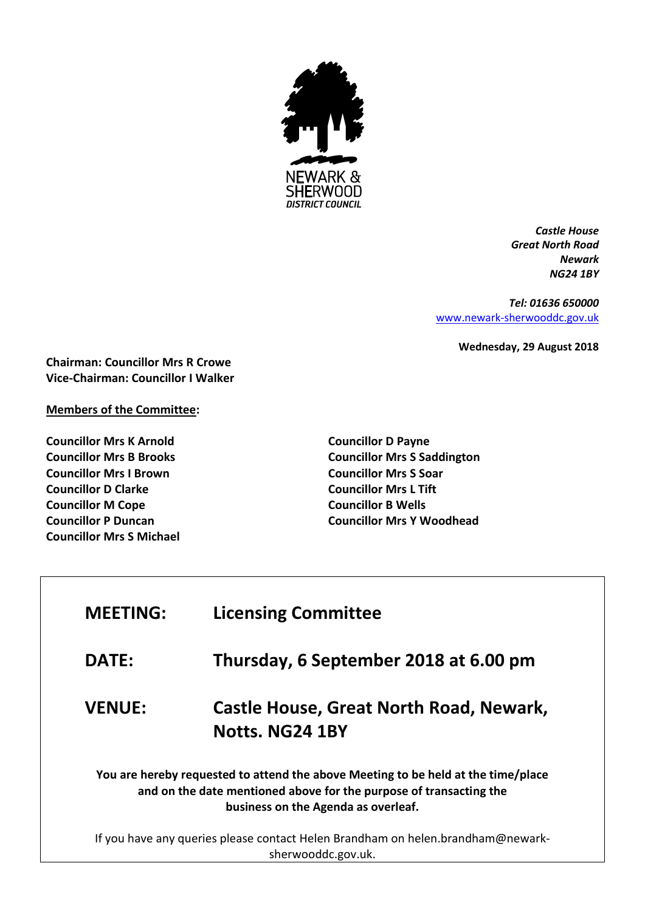

*Castle House Great North Road Newark NG24 1BY*

*Tel: 01636 650000* [www.newark-sherwooddc.gov.uk](http://www.newark-sherwooddc.gov.uk/)

**Wednesday, 29 August 2018**

**Chairman: Councillor Mrs R Crowe Vice-Chairman: Councillor I Walker**

## **Members of the Committee:**

**Councillor Mrs K Arnold Councillor Mrs B Brooks Councillor Mrs I Brown Councillor D Clarke Councillor M Cope Councillor P Duncan Councillor Mrs S Michael** **Councillor D Payne Councillor Mrs S Saddington Councillor Mrs S Soar Councillor Mrs L Tift Councillor B Wells Councillor Mrs Y Woodhead**

| <b>MEETING:</b> | <b>Licensing Committee</b>                                                                                                                                                                     |
|-----------------|------------------------------------------------------------------------------------------------------------------------------------------------------------------------------------------------|
| <b>DATE:</b>    | Thursday, 6 September 2018 at 6.00 pm                                                                                                                                                          |
| <b>VENUE:</b>   | <b>Castle House, Great North Road, Newark,</b><br>Notts. NG24 1BY                                                                                                                              |
|                 | You are hereby requested to attend the above Meeting to be held at the time/place<br>and on the date mentioned above for the purpose of transacting the<br>business on the Agenda as overleaf. |
|                 | If you have any queries please contact Helen Brandham on helen.brandham@newark-<br>sherwooddc.gov.uk.                                                                                          |